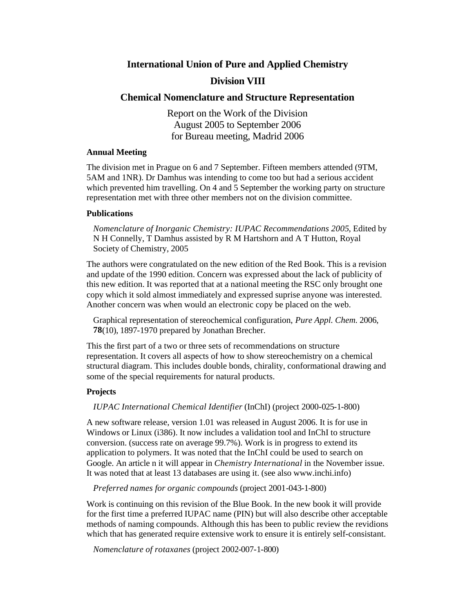# **International Union of Pure and Applied Chemistry**

# **Division VIII**

# **Chemical Nomenclature and Structure Representation**

Report on the Work of the Division August 2005 to September 2006 for Bureau meeting, Madrid 2006

### **Annual Meeting**

The division met in Prague on 6 and 7 September. Fifteen members attended (9TM, 5AM and 1NR). Dr Damhus was intending to come too but had a serious accident which prevented him travelling. On 4 and 5 September the working party on structure representation met with three other members not on the division committee.

## **Publications**

*Nomenclature of Inorganic Chemistry: IUPAC Recommendations 2005*, Edited by N H Connelly, T Damhus assisted by R M Hartshorn and A T Hutton, Royal Society of Chemistry, 2005

The authors were congratulated on the new edition of the Red Book. This is a revision and update of the 1990 edition. Concern was expressed about the lack of publicity of this new edition. It was reported that at a national meeting the RSC only brought one copy which it sold almost immediately and expressed suprise anyone was interested. Another concern was when would an electronic copy be placed on the web.

Graphical representation of stereochemical configuration, *Pure Appl. Chem.* 2006, **78**(10), 1897-1970 prepared by Jonathan Brecher.

This the first part of a two or three sets of recommendations on structure representation. It covers all aspects of how to show stereochemistry on a chemical structural diagram. This includes double bonds, chirality, conformational drawing and some of the special requirements for natural products.

## **Projects**

### *IUPAC International Chemical Identifier* (InChI) (project 2000-025-1-800)

A new software release, version 1.01 was released in August 2006. It is for use in Windows or Linux (i386). It now includes a validation tool and InChI to structure conversion. (success rate on average 99.7%). Work is in progress to extend its application to polymers. It was noted that the InChI could be used to search on Google. An article n it will appear in *Chemistry International* in the November issue. It was noted that at least 13 databases are using it. (see also www.inchi.info)

*Preferred names for organic compounds* (project 2001-043-1-800)

Work is continuing on this revision of the Blue Book. In the new book it will provide for the first time a preferred IUPAC name (PIN) but will also describe other acceptable methods of naming compounds. Although this has been to public review the revidions which that has generated require extensive work to ensure it is entirely self-consistant.

*Nomenclature of rotaxanes* (project 2002-007-1-800)